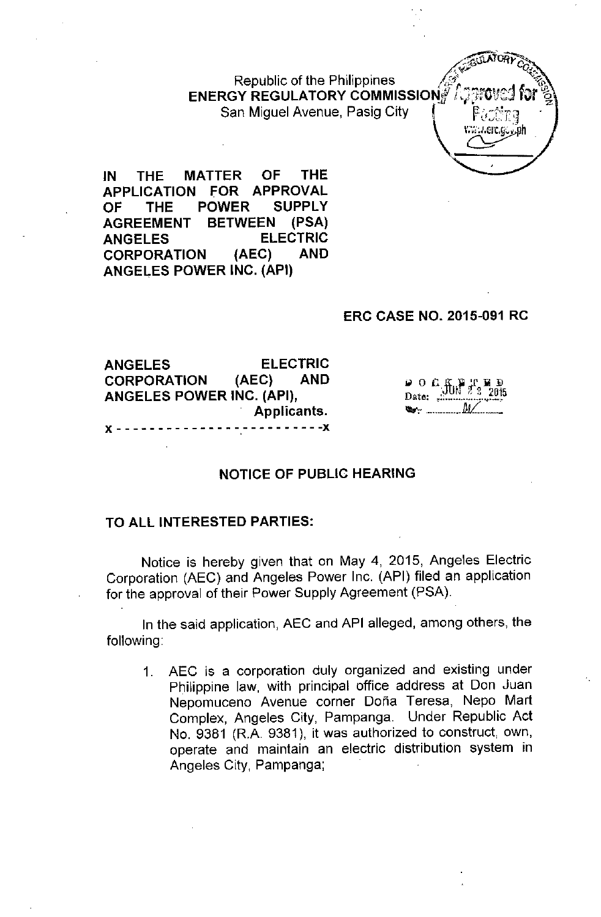Republic of the Philippines  $E$ NERGY REGULATORY COMMISSION $\frac{1}{N}$ San Miguel Avenue, Pasig City



**IN THE MATTER OF THE APPLICATION FOR APPROVAL OF THE POWER SUPPLY AGREEMENT BETWEEN (PSA) ANGELES ELECTRIC CORPORATION (AEC) AND ANGELES POWER INC. (API)**

# **ERC CASE NO. 2015-091 RC**

**ANGELES ELECTRIC CORPORATION (AEC) AND ANGELES POWER INC. (API), Applicants.** x - - - - - - - - - - - - - - - - - - - - - - - - -x

 $900$   $\frac{1}{2}$   $\frac{1}{2}$   $\frac{1}{2}$   $\frac{1}{2}$   $\frac{1}{2}$   $\frac{1}{2}$   $\frac{1}{2}$ Date: .:  $\mathbb{W}$ 

# **NOTICE OF PUBLIC HEARING**

### **TO ALL INTERESTED PARTIES:**

Notice is hereby given that on May 4, 2015, Angeles Electric Corporation (AEC) and Angeles Power Inc. (API) filed an application for the approval of their Power Supply Agreement (PSA).

In the said application, AEC and API alleged, among others, the following:

1. AEC is a corporation duly organized and existing under Philippine law, with principal office address at Don Juan Nepomuceno Avenue corner Dona Teresa, Nepo Mart Complex, Angeles City, Pampanga. Under Republic Act No. 9381 (RA 9381), it was authorized to construct, own, operate and maintain an electric distribution system in Angeles City, Pampanga;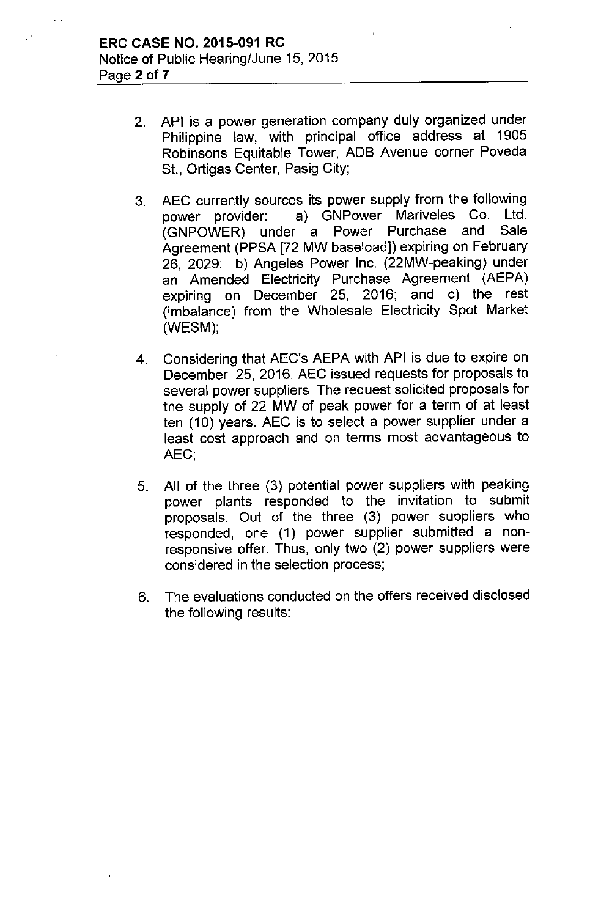- 2. **API** is a power generation company duly organized under Philippine law, with principal office address at 1905 Robinsons Equitable Tower, **ADB** Avenue corner Poveda St., Ortigas Center, Pasig City;
- 3. AEC currently sources its power supply from the following power provider: a) GNPower Mariveles Co. Ltd. (GNPOWER) under a Power Purchase and Sale Agreement (PPSA [72 MW baseload]) expiring on February 26, 2029; b) Angeles Power Inc. (22MW-peaking) under an Amended Electricity Purchase Agreement (AEPA) expiring on December 25, 2016; and c) the rest (imbalance) from the Wholesale Electricity Spot Market (WESM);
- 4. Considering that AEC's AEPA with API is due to expire on December 25, 2016, AEC issued requests for proposals to several power suppliers. The request soiicited proposals for the supply of 22 MW of peak power for a term of at least ten (10) years. AEC is to select a power supplier under a least cost approach and on terms most advantageous to AEC',
- 5. All of the three (3) potential power suppliers with peaking power plants responded to the invitation to submit proposals. Out of the three (3) power suppliers who responded, one (1) power supplier submitted a nonresponsive offer. Thus, only two (2) power suppliers were considered in the selection process;
- 6. The evaluations conducted on the offers received disclosed the following results: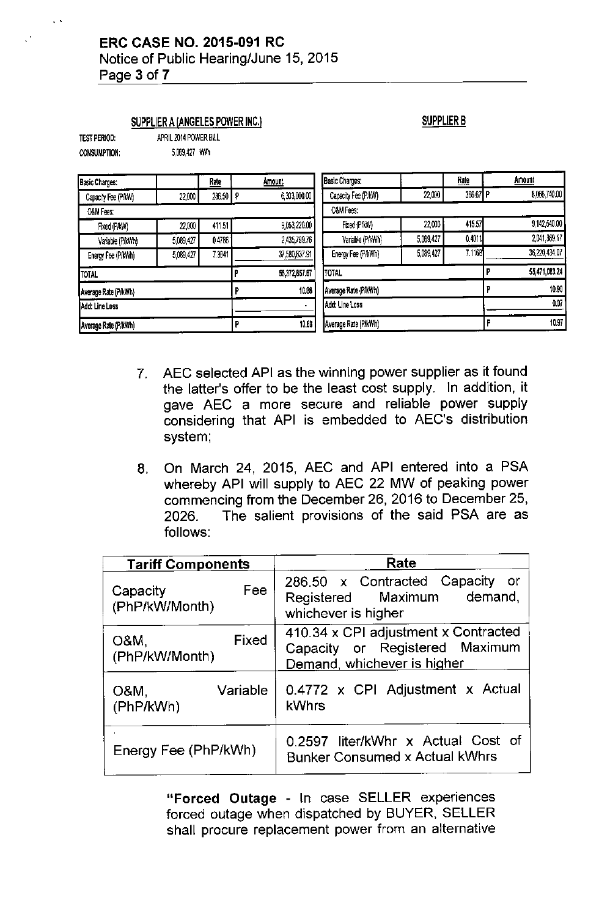Notice of Public Hearing/June 15, 2015 Page 3 of 7

#### SUPPLIER A {ANGELES POWER INC,}

APRIL 2014 POWER BILL

# SUPPLIER B

| test period: |  |
|--------------|--|
| CONSUMPTION: |  |

5,089,427 kWh

| Basic Charges:                |           | <b>Rate</b>          | Amount            |                      | <b>Basic Charges:</b> |           | <b>Rate</b> |               | Amount        |
|-------------------------------|-----------|----------------------|-------------------|----------------------|-----------------------|-----------|-------------|---------------|---------------|
| Capacity Fee (PAW)            | 22,000    | 286.50               | 6,303,000.00<br>ρ |                      | Capacity Fee (P/kW)   | 22,000    | 366.67 P    |               | 8,066,740.00  |
| O&M Fees:                     |           |                      |                   |                      | O&M Fees:             |           |             |               |               |
| Fixed (P/kW)                  | 22,000    | 411.51               | 9,053,220.00      |                      | Fixed (P/kW)          | 22,000    | 415.57      |               | 9,142,540.00  |
| Variable (P/kWh)              | 5,089,427 | 0.4786               | 2,435,799.76      |                      | Variable (P/kWh)      | 5,089,427 | 0.4011      |               | 2,041,369.17  |
| Energy Fee (P/kWh)            | 5,089,427 | 7.3841               |                   | 37,580,837.91        | Energy Fee (P/kWh)    | 5,089,427 | 7.1168      |               | 36,220,434.07 |
| TOTAL                         |           |                      | 55,372,857.67     | <b>TOTAL</b>         |                       |           | Е           | 55,471,083.24 |               |
| Average Rate (P/kWh)          |           |                      | 10.88             | Average Rate (PikWh) |                       |           |             | 10.90         |               |
| Add: Line Loss                |           | Add: Line Loss       |                   |                      |                       | 0.07      |             |               |               |
| 10.88<br>Average Rate (P/kWh) |           | Average Rate (P/kWh) |                   |                      |                       | 10.97     |             |               |               |

- 7, AEC selected API as the winning power supplier as it found the latter's offer to be the least cost supply, In addition, it gave AEC a more secure and reliable power supply considering that API is embedded to AEC's distribution system;
- 8, On March 24, 2015, AEC and API entered into a PSA whereby API will supply to AEC 22 MW of peaking power commencing from the December 26, 2016 to December 25, 2026, The salient provisions of the said PSA are as follows:

| <b>Tariff Components</b>          | Rate                                                                                                  |  |  |  |
|-----------------------------------|-------------------------------------------------------------------------------------------------------|--|--|--|
| Fee<br>Capacity<br>(PhP/kW/Month) | 286.50 x Contracted Capacity<br>- or<br>Registered Maximum demand,<br>whichever is higher             |  |  |  |
| Fixed<br>O&M.<br>(PhP/kW/Month)   | 410.34 x CPI adjustment x Contracted<br>Capacity or Registered Maximum<br>Demand, whichever is higher |  |  |  |
| Variable<br>O&M,<br>(PhP/kWh)     | 0.4772 x CPI Adjustment x Actual<br>kWhrs                                                             |  |  |  |
| Energy Fee (PhP/kWh)              | 0.2597 liter/kWhr x Actual Cost of<br><b>Bunker Consumed x Actual kWhrs</b>                           |  |  |  |

"Forced Outage - In case SELLER experiences forced outage when dispatched by BUYER, SELLER shall procure replacement power from an alternative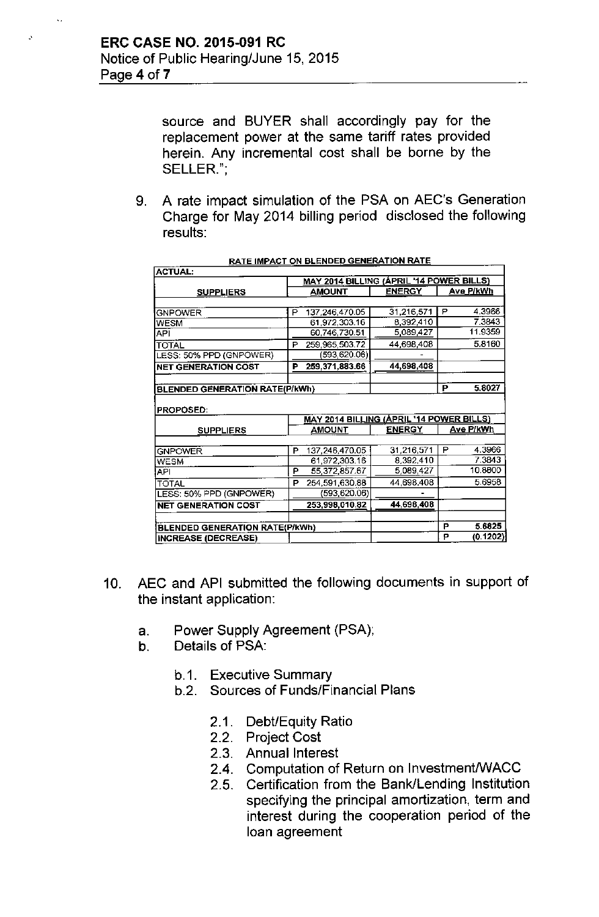$\bar{\mathbf{v}}$  .

source and BUYER shall accordingly pay for the replacement power at the same tariff rates provided herein. Any incremental cost shall be borne by the SELLER.";

9. A rate impact simulation of the PSA on AEC's Generation Charge for May 2014 billing period disclosed the following results:

| <b>ACTUAL:</b>                        |                                                 |                |               |           |           |  |
|---------------------------------------|-------------------------------------------------|----------------|---------------|-----------|-----------|--|
|                                       | <b>MAY 2014 BILLING (ÁPRIL '14 POWER BILLS)</b> |                |               |           |           |  |
| <b>SUPPLIERS</b>                      |                                                 | AMOUNT         | <b>ENERGY</b> | Ave P/kWh |           |  |
|                                       |                                                 |                |               |           |           |  |
| <b>GNPOWER</b>                        | P                                               | 137,246,470.05 | 31,216,571    | P         | 4.3966    |  |
| <b>WESM</b>                           |                                                 | 61,972,303.16  | 8,392,410     |           | 7.3843    |  |
| API                                   |                                                 | 60,746,730.51  | 5,089,427     |           | 11.9359   |  |
| <b>TOTAL</b>                          | P                                               | 259,965,503.72 | 44,698,408    |           | 5.8160    |  |
| LESS: 50% PPD (GNPOWER)               |                                                 | (593,620.06)   |               |           |           |  |
| <b>NET GENERATION COST</b>            | P                                               | 259,371,883.66 | 44,698,408    |           |           |  |
|                                       |                                                 |                |               |           |           |  |
| <b>BLENDED GENERATION RATE(P/kWh)</b> |                                                 |                | P             | 5.8027    |           |  |
|                                       |                                                 |                |               |           |           |  |
| PROPOSED:                             |                                                 |                |               |           |           |  |
|                                       | MAY 2014 BILLING (APRIL '14 POWER BILLS)        |                |               |           |           |  |
| <b>SUPPLIERS</b>                      |                                                 | AMOUNT         | <b>ENERGY</b> |           | Ave P/kWh |  |
|                                       |                                                 |                |               |           |           |  |
| <b>GNPOWER</b>                        | Р                                               | 137,246,470.05 | 31,216,571    | P         | 4.3966    |  |
| <b>WESM</b>                           |                                                 | 61,972,303.16  | 8,392,410     |           | 7.3843    |  |
| API                                   | P                                               | 55,372,857.67  | 5,089,427     |           | 10.8800   |  |
| <b>TOTAL</b>                          | P                                               | 254,591,630.88 | 44,698,408    |           | 5.6958    |  |
| LESS: 50% PPD (GNPOWER)               |                                                 | (593,620.06)   |               |           |           |  |
| <b>NET GENERATION COST</b>            |                                                 | 253,998,010.82 | 44,698,408    |           |           |  |
|                                       |                                                 |                |               |           |           |  |
| <b>BLENDED GENERATION RATE(P/kWh)</b> |                                                 |                |               | Р         | 5.6825    |  |
| <b>INCREASE (DECREASE)</b>            |                                                 |                |               | P         | (0.1202)  |  |

|  | <u>RATE IMPACT ON BLENDED GENERATION RATE</u> |
|--|-----------------------------------------------|
|  |                                               |

- 10. AEC and API submitted the following documents in support of the instant application:
	- a. Power Supply Agreement (PSA);
	- b. Details of PSA:
		- b.1. Executive Summary
		- b.2. Sources of Funds/Financial Plans
			- 2.1. Debt/Equity Ratio
			- 2.2. Project Cost
			- 2.3. Annual Interest
			- 2.4. Computation of Return on Investment/WACC
			- 2.5. Certification from the Bank/Lending Institution specifying the principal amortization, term and interest during the cooperation period of the loan agreement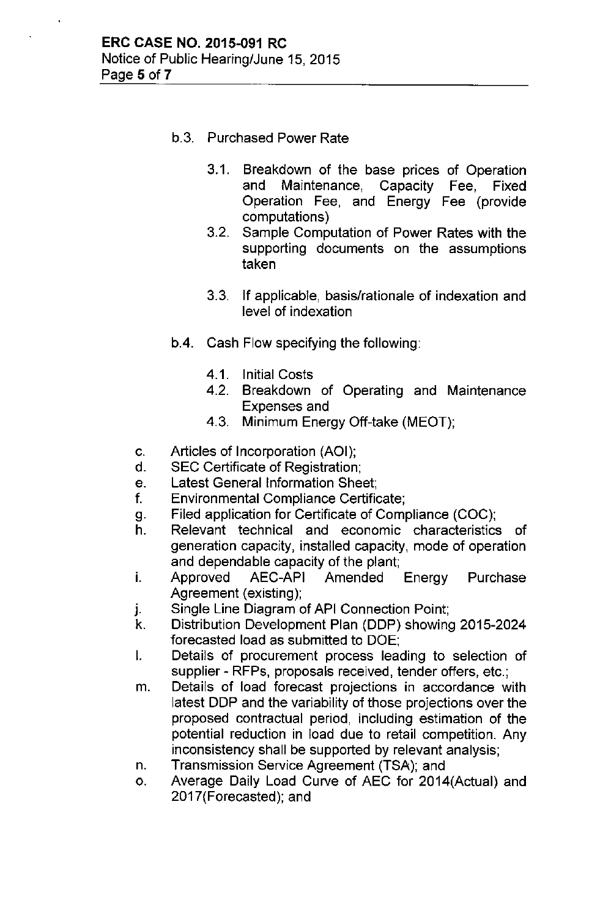- b.3. Purchased Power Rate
	- 3.1. Breakdown of the base prices of Operation and Maintenance, Capacity Fee, Fixed Operation Fee, and Energy Fee (provide computations)
	- 3.2. Sample Computation of Power Rates with the supporting documents on the assumptions taken
	- 3.3. If applicable, basis/rationale of indexation and level of indexation
- b.4. Cash Flow specifying the following:
	- 4.1. Initial Costs
	- 4.2. Breakdown of Operating and Maintenance Expenses and
	- 4.3. Minimum Energy Off-take (MEOT);
- c. Articles of Incorporation (AOI);
- d. SEC Certificate of Registration;
- e. Latest General Information Sheet;
- f. Environmental Compliance Certificate;
- g. Filed application for Certificate of Compliance (COC);
- h. Relevant technical and economic characteristics of generation capacity, installed capacity, mode of operation and dependable capacity of the plant;
- i. Approved AEC-API Amended Energy Purchase Agreement (existing);
- j. Single Line Diagram of API Connection Point;
- k. Distribution Development Plan (DDP) showing 2015-2024 forecasted load as submitted to DOE;
- I. Details of procurement process leading to selection of supplier - RFPs, proposals received, tender offers, etc.;
- m. Details of load forecast projections in accordance with latest DDP and the variability of those projections over the proposed contractual period, including estimation of the potential reduction in load due to retail competition. Any inconsistency shall be supported by relevant analysis;
- n. Transmission Service Agreement (TSA); and
- o. Average Daily Load Curve of AEC for 2014(Actual) and 2017(Forecasted); and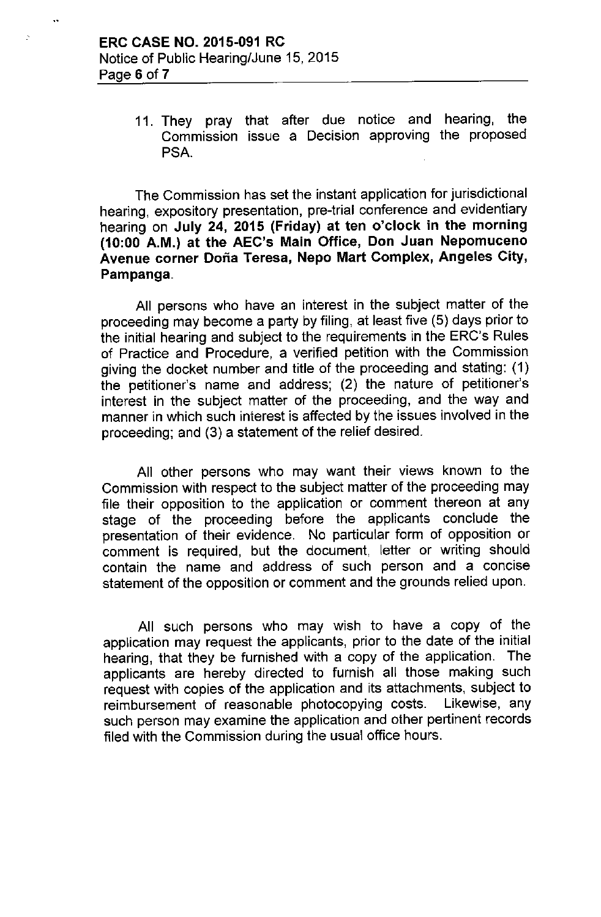11. They pray that after due notice and hearing, the Commission issue a Decision approving the proposed PSA.

The Commission has set the instant application for jurisdictional hearing, expository presentation, pre-trial conference and evidentiary hearing on July 24, 2015 (Friday) at ten o'clock in the morning (10:00 A.M.) at the AEC's Main Office, Don Juan Nepomuceno Avenue corner Dona Teresa, Nepo Mart Complex, Angeles City, Pampanga.

All persons who have an interest in the subject matter of the proceeding may become a party by filing, at least five (5) days prior to the initial hearing and subject to the requirements in the ERC's Rules of Practice and Procedure, a verified petition with the Commission giving the docket number and title of the proceeding and stating: (1) the petitioner's name and address; (2) the nature of petitioner's interest in the subject matter of the proceeding, and the way and manner in which such interest is affected by the issues involved in the proceeding; and (3) a statement of the relief desired.

All other persons who may want their views known to the Commission with respect to the subject matter of the proceeding may file their opposition to the application or comment thereon at any stage of the proceeding before the applicants conclude the presentation of their evidence. No particular form of opposition or comment is required, but the document, ietter or writing should contain the name and address of such person and a concise statement of the opposition or comment and the grounds relied upon.

All such persons who may wish to have a copy of the application may request the applicants, prior to the date of the initial hearing, that they be furnished with a copy of the application. The applicants are hereby directed to furnish all those making such request with copies of the application and its attachments, subject to reimbursement of reasonable photocopying costs. Likewise, any such person may examine the application and other pertinent records filed with the Commission during the usual office hours.